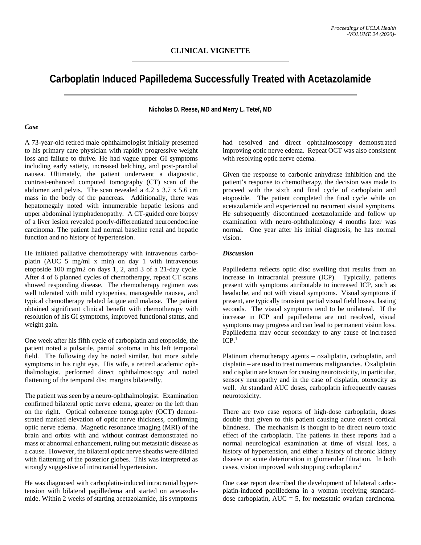## **Carboplatin Induced Papilledema Successfully Treated with Acetazolamide**

**Nicholas D. Reese, MD and Merry L. Tetef, MD**

## *Case*

A 73-year-old retired male ophthalmologist initially presented to his primary care physician with rapidly progressive weight loss and failure to thrive. He had vague upper GI symptoms including early satiety, increased belching, and post-prandial nausea. Ultimately, the patient underwent a diagnostic, contrast-enhanced computed tomography (CT) scan of the abdomen and pelvis. The scan revealed a 4.2 x 3.7 x 5.6 cm mass in the body of the pancreas. Additionally, there was hepatomegaly noted with innumerable hepatic lesions and upper abdominal lymphadenopathy. A CT-guided core biopsy of a liver lesion revealed poorly-differentiated neuroendocrine carcinoma. The patient had normal baseline renal and hepatic function and no history of hypertension.

He initiated palliative chemotherapy with intravenous carboplatin (AUC 5 mg/ml x min) on day 1 with intravenous etoposide 100 mg/m2 on days 1, 2, and 3 of a 21-day cycle. After 4 of 6 planned cycles of chemotherapy, repeat CT scans showed responding disease. The chemotherapy regimen was well tolerated with mild cytopenias, manageable nausea, and typical chemotherapy related fatigue and malaise. The patient obtained significant clinical benefit with chemotherapy with resolution of his GI symptoms, improved functional status, and weight gain.

One week after his fifth cycle of carboplatin and etoposide, the patient noted a pulsatile, partial scotoma in his left temporal field. The following day he noted similar, but more subtle symptoms in his right eye. His wife, a retired academic ophthalmologist, performed direct ophthalmoscopy and noted flattening of the temporal disc margins bilaterally.

The patient was seen by a neuro-ophthalmologist. Examination confirmed bilateral optic nerve edema, greater on the left than on the right. Optical coherence tomography (OCT) demonstrated marked elevation of optic nerve thickness, confirming optic nerve edema. Magnetic resonance imaging (MRI) of the brain and orbits with and without contrast demonstrated no mass or abnormal enhancement, ruling out metastatic disease as a cause. However, the bilateral optic nerve sheaths were dilated with flattening of the posterior globes. This was interpreted as strongly suggestive of intracranial hypertension.

He was diagnosed with carboplatin-induced intracranial hypertension with bilateral papilledema and started on acetazolamide. Within 2 weeks of starting acetazolamide, his symptoms

had resolved and direct ophthalmoscopy demonstrated improving optic nerve edema. Repeat OCT was also consistent with resolving optic nerve edema.

Given the response to carbonic anhydrase inhibition and the patient's response to chemotherapy, the decision was made to proceed with the sixth and final cycle of carboplatin and etoposide. The patient completed the final cycle while on acetazolamide and experienced no recurrent visual symptoms. He subsequently discontinued acetazolamide and follow up examination with neuro-ophthalmology 4 months later was normal. One year after his initial diagnosis, he has normal vision.

## *Discussion*

Papilledema reflects optic disc swelling that results from an increase in intracranial pressure (ICP). Typically, patients present with symptoms attributable to increased ICP, such as headache, and not with visual symptoms. Visual symptoms if present, are typically transient partial visual field losses, lasting seconds. The visual symptoms tend to be unilateral. If the increase in ICP and papilledema are not resolved, visual symptoms may progress and can lead to permanent vision loss. Papilledema may occur secondary to any cause of increased ICP. 1

Platinum chemotherapy agents – oxaliplatin, carboplatin, and cisplatin – are used to treat numerous malignancies. Oxaliplatin and cisplatin are known for causing neurotoxicity, in particular, sensory neuropathy and in the case of cisplatin, otoxocity as well. At standard AUC doses, carboplatin infrequently causes neurotoxicity.

There are two case reports of high-dose carboplatin, doses double that given to this patient causing acute onset cortical blindness. The mechanism is thought to be direct neuro toxic effect of the carboplatin. The patients in these reports had a normal neurological examination at time of visual loss, a history of hypertension, and either a history of chronic kidney disease or acute deterioration in glomerular filtration. In both cases, vision improved with stopping carboplatin.2

One case report described the development of bilateral carboplatin-induced papilledema in a woman receiving standarddose carboplatin,  $AUC = 5$ , for metastatic ovarian carcinoma.